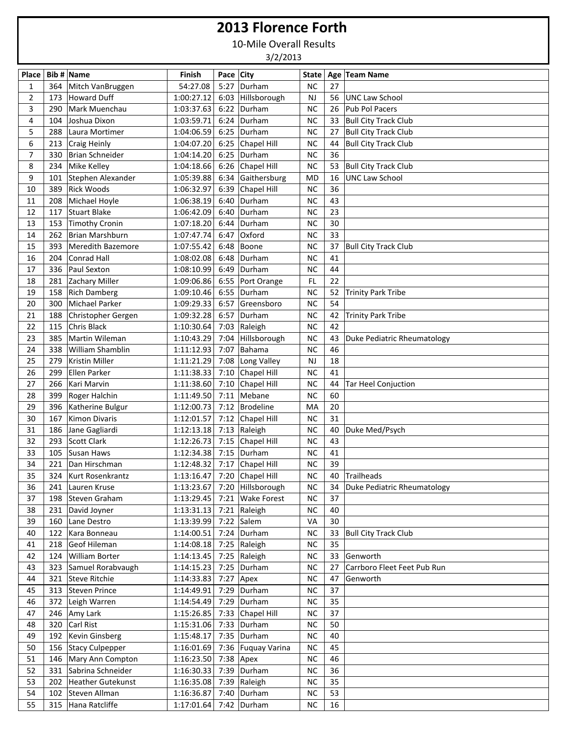## **2013 Florence Forth**

10-Mile Overall Results

3/2/2013

| Place          |     | Bib # Name            | Finish     | Pace City |                              | State     |    | Age Team Name                  |
|----------------|-----|-----------------------|------------|-----------|------------------------------|-----------|----|--------------------------------|
| 1              |     | 364 Mitch VanBruggen  | 54:27.08   | 5:27      | Durham                       | <b>NC</b> | 27 |                                |
| $\overline{2}$ | 173 | Howard Duff           | 1:00:27.12 | 6:03      | Hillsborough                 | <b>NJ</b> | 56 | <b>UNC Law School</b>          |
| 3              | 290 | Mark Muenchau         | 1:03:37.63 |           | $6:22$ Durham                | <b>NC</b> | 26 | Pub Pol Pacers                 |
| 4              | 104 | Joshua Dixon          | 1:03:59.71 |           | $6:24$ Durham                | <b>NC</b> | 33 | <b>Bull City Track Club</b>    |
| 5              | 288 | Laura Mortimer        | 1:04:06.59 | 6:25      | Durham                       | <b>NC</b> | 27 | <b>Bull City Track Club</b>    |
| 6              | 213 | Craig Heinly          | 1:04:07.20 | 6:25      | Chapel Hill                  | <b>NC</b> | 44 | <b>Bull City Track Club</b>    |
| 7              | 330 | Brian Schneider       | 1:04:14.20 | 6:25      | Durham                       | <b>NC</b> | 36 |                                |
| 8              | 234 | Mike Kelley           | 1:04:18.66 | 6:26      | Chapel Hill                  | <b>NC</b> | 53 | <b>Bull City Track Club</b>    |
| 9              | 101 | Stephen Alexander     | 1:05:39.88 | 6:34      | Gaithersburg                 | <b>MD</b> | 16 | <b>UNC Law School</b>          |
| 10             | 389 | <b>Rick Woods</b>     | 1:06:32.97 | 6:39      | Chapel Hill                  | <b>NC</b> | 36 |                                |
| 11             | 208 | Michael Hoyle         | 1:06:38.19 | 6:40      | Durham                       | <b>NC</b> | 43 |                                |
| 12             | 117 | Stuart Blake          | 1:06:42.09 | 6:40      | Durham                       | <b>NC</b> | 23 |                                |
| 13             | 153 | Timothy Cronin        | 1:07:18.20 | 6:44      | Durham                       | <b>NC</b> | 30 |                                |
| 14             | 262 | Brian Marshburn       | 1:07:47.74 | 6:47      | Oxford                       | <b>NC</b> | 33 |                                |
| 15             | 393 | Meredith Bazemore     | 1:07:55.42 | 6:48      | Boone                        | <b>NC</b> | 37 | <b>Bull City Track Club</b>    |
| 16             | 204 | Conrad Hall           | 1:08:02.08 | 6:48      | Durham                       | <b>NC</b> | 41 |                                |
| 17             | 336 | Paul Sexton           | 1:08:10.99 | 6:49      | Durham                       | <b>NC</b> | 44 |                                |
| 18             | 281 | Zachary Miller        | 1:09:06.86 |           | 6:55 Port Orange             | FL.       | 22 |                                |
| 19             | 158 | <b>Rich Damberg</b>   | 1:09:10.46 | 6:55      | Durham                       | <b>NC</b> | 52 | <b>Trinity Park Tribe</b>      |
| 20             | 300 | Michael Parker        | 1:09:29.33 | 6:57      | Greensboro                   | <b>NC</b> | 54 |                                |
| 21             | 188 | Christopher Gergen    | 1:09:32.28 | 6:57      | Durham                       | <b>NC</b> | 42 | <b>Trinity Park Tribe</b>      |
| 22             | 115 | Chris Black           | 1:10:30.64 | 7:03      | Raleigh                      | <b>NC</b> | 42 |                                |
| 23             | 385 | Martin Wileman        | 1:10:43.29 | 7:04      | Hillsborough                 | <b>NC</b> | 43 | Duke Pediatric Rheumatology    |
| 24             | 338 | William Shamblin      | 1:11:12.93 | 7:07      | Bahama                       | <b>NC</b> | 46 |                                |
| 25             | 279 | Kristin Miller        | 1:11:21.29 | 7:08      | Long Valley                  | <b>NJ</b> | 18 |                                |
| 26             | 299 | Ellen Parker          | 1:11:38.33 | 7:10      | Chapel Hill                  | <b>NC</b> | 41 |                                |
| 27             | 266 | Kari Marvin           | 1:11:38.60 | 7:10      | Chapel Hill                  | <b>NC</b> | 44 | <b>Tar Heel Conjuction</b>     |
| 28             | 399 | Roger Halchin         | 1:11:49.50 | 7:11      | Mebane                       | <b>NC</b> | 60 |                                |
| 29             | 396 | Katherine Bulgur      | 1:12:00.73 | 7:12      | Brodeline                    | MA        | 20 |                                |
| 30             | 167 | Kimon Divaris         | 1:12:01.57 | 7:12      | Chapel Hill                  | <b>NC</b> | 31 |                                |
| 31             | 186 | Jane Gagliardi        | 1:12:13.18 | 7:13      | Raleigh                      | <b>NC</b> | 40 | Duke Med/Psych                 |
| 32             | 293 | Scott Clark           | 1:12:26.73 | 7:15      | Chapel Hill                  | <b>NC</b> | 43 |                                |
| 33             | 105 | Susan Haws            | 1:12:34.38 | 7:15      | Durham                       | <b>NC</b> | 41 |                                |
| 34             | 221 | Dan Hirschman         | 1:12:48.32 | 7:17      | Chapel Hill                  | NC        | 39 |                                |
| 35             | 324 | Kurt Rosenkrantz      | 1:13:16.47 |           | 7:20 Chapel Hill             | <b>NC</b> | 40 | Trailheads                     |
| 36             |     | 241 Lauren Kruse      |            |           | 1:13:23.67 7:20 Hillsborough | <b>NC</b> |    | 34 Duke Pediatric Rheumatology |
| 37             |     | 198 Steven Graham     | 1:13:29.45 |           | 7:21 Wake Forest             | NC        | 37 |                                |
| 38             |     | 231 David Joyner      | 1:13:31.13 |           | 7:21 $ Raleigh$              | $\sf NC$  | 40 |                                |
| 39             | 160 | Lane Destro           | 1:13:39.99 | 7:22      | Salem                        | VA        | 30 |                                |
| 40             | 122 | Kara Bonneau          | 1:14:00.51 | 7:24      | Durham                       | <b>NC</b> |    | 33 Bull City Track Club        |
| 41             |     | 218 Geof Hileman      | 1:14:08.18 | 7:25      | Raleigh                      | $NC$      | 35 |                                |
| 42             | 124 | William Borter        | 1:14:13.45 |           | 7:25 Raleigh                 | $NC$      |    | 33 Genworth                    |
| 43             |     | 323 Samuel Rorabvaugh | 1:14:15.23 |           | 7:25 $ $ Durham              | NC        | 27 | Carrboro Fleet Feet Pub Run    |
| 44             |     | 321 Steve Ritchie     | 1:14:33.83 | 7:27      | Apex                         | $NC$      | 47 | Genworth                       |
| 45             |     | 313 Steven Prince     | 1:14:49.91 |           | 7:29 $ $ Durham              | $NC$      | 37 |                                |
| 46             |     | 372 Leigh Warren      | 1:14:54.49 | 7:29      | Durham                       | <b>NC</b> | 35 |                                |
| 47             |     | 246 Amy Lark          | 1:15:26.85 | 7:33      | Chapel Hill                  | NC        | 37 |                                |
| 48             | 320 | Carl Rist             | 1:15:31.06 |           | 7:33 $ D$ urham              | <b>NC</b> | 50 |                                |
| 49             |     | 192 Kevin Ginsberg    | 1:15:48.17 |           | 7:35 $ $ Durham              | <b>NC</b> | 40 |                                |
| 50             |     | 156 Stacy Culpepper   | 1:16:01.69 |           | 7:36 Fuquay Varina           | <b>NC</b> | 45 |                                |
| 51             |     | 146 Mary Ann Compton  | 1:16:23.50 |           | $7:38$ Apex                  | <b>NC</b> | 46 |                                |
| 52             |     | 331 Sabrina Schneider | 1:16:30.33 |           | 7:39 $ $ Durham              | $NC$      | 36 |                                |
| 53             |     | 202 Heather Gutekunst | 1:16:35.08 | 7:39      | Raleigh                      | <b>NC</b> | 35 |                                |
| 54             |     | 102 Steven Allman     | 1:16:36.87 |           | 7:40 $ $ Durham              | <b>NC</b> | 53 |                                |
| 55             |     | 315 Hana Ratcliffe    | 1:17:01.64 |           | 7:42 $ $ Durham              | <b>NC</b> | 16 |                                |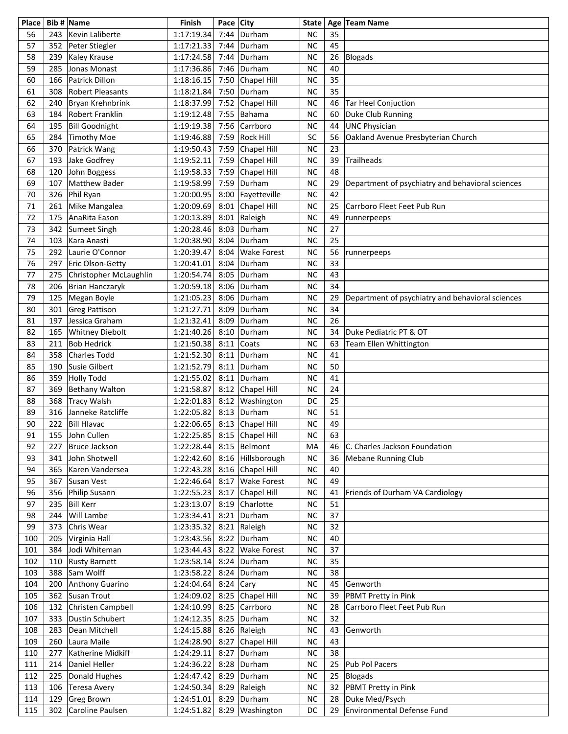| Place    |            | Bib # Name                  | Finish                      | Pace City    |                    | State                  |          | Age Team Name                                    |
|----------|------------|-----------------------------|-----------------------------|--------------|--------------------|------------------------|----------|--------------------------------------------------|
| 56       | 243        | Kevin Laliberte             | 1:17:19.34                  | 7:44         | Durham             | <b>NC</b>              | 35       |                                                  |
| 57       | 352        | Peter Stiegler              | 1:17:21.33                  | 7:44         | Durham             | <b>NC</b>              | 45       |                                                  |
| 58       | 239        | Kaley Krause                | 1:17:24.58                  | 7:44         | Durham             | <b>NC</b>              |          | 26 Blogads                                       |
| 59       | 285        | Jonas Monast                | 1:17:36.86                  | 7:46         | Durham             | <b>NC</b>              | 40       |                                                  |
| 60       | 166        | Patrick Dillon              | 1:18:16.15                  | 7:50         | Chapel Hill        | <b>NC</b>              | 35       |                                                  |
| 61       | 308        | <b>Robert Pleasants</b>     | 1:18:21.84                  | 7:50         | Durham             | <b>NC</b>              | 35       |                                                  |
| 62       | 240        | Bryan Krehnbrink            | 1:18:37.99                  | 7:52         | Chapel Hill        | NC                     | 46       | Tar Heel Conjuction                              |
| 63       | 184        | Robert Franklin             | 1:19:12.48                  | 7:55         | Bahama             | <b>NC</b>              | 60       | Duke Club Running                                |
| 64       | 195        | <b>Bill Goodnight</b>       | 1:19:19.38                  | 7:56         | Carrboro           | <b>NC</b>              | 44       | <b>UNC Physician</b>                             |
| 65       | 284        | Timothy Moe                 | 1:19:46.88                  | 7:59         | <b>Rock Hill</b>   | SC                     | 56       | Oakland Avenue Presbyterian Church               |
| 66       | 370        | Patrick Wang                | 1:19:50.43                  | 7:59         | Chapel Hill        | <b>NC</b>              | 23       |                                                  |
| 67       | 193        | Jake Godfrey                | 1:19:52.11                  | 7:59         | Chapel Hill        | <b>NC</b>              | 39       | Trailheads                                       |
| 68       | 120        | John Boggess                | 1:19:58.33                  | 7:59         | Chapel Hill        | <b>NC</b>              | 48       |                                                  |
| 69       | 107        | <b>Matthew Bader</b>        | 1:19:58.99                  | 7:59         | Durham             | <b>NC</b>              | 29       | Department of psychiatry and behavioral sciences |
| 70       | 326        | Phil Ryan                   | 1:20:00.95                  | 8:00         | Fayetteville       | <b>NC</b>              | 42       |                                                  |
| 71       | 261        | Mike Mangalea               | 1:20:09.69                  | 8:01         | Chapel Hill        | <b>NC</b>              | 25       | Carrboro Fleet Feet Pub Run                      |
| 72       | 175        | AnaRita Eason               | 1:20:13.89                  | 8:01         | Raleigh            | <b>NC</b>              | 49       | runnerpeeps                                      |
| 73       | 342        | Sumeet Singh                | 1:20:28.46                  | 8:03         | Durham             | <b>NC</b>              | 27       |                                                  |
| 74       | 103        | Kara Anasti                 | 1:20:38.90                  | 8:04         | Durham             | <b>NC</b>              | 25       |                                                  |
| 75       | 292        | Laurie O'Connor             | 1:20:39.47                  | 8:04         | <b>Wake Forest</b> | <b>NC</b>              | 56       | runnerpeeps                                      |
| 76       | 297        | Eric Olson-Getty            | 1:20:41.01                  | 8:04         | Durham             | <b>NC</b>              | 33       |                                                  |
| 77       | 275        | Christopher McLaughlin      | 1:20:54.74                  | 8:05         | Durham             | <b>NC</b>              | 43       |                                                  |
| 78       | 206        | Brian Hanczaryk             | 1:20:59.18                  | 8:06         | Durham             | <b>NC</b>              | 34       |                                                  |
| 79       | 125        | Megan Boyle                 | 1:21:05.23                  | 8:06         | Durham             | <b>NC</b>              | 29       | Department of psychiatry and behavioral sciences |
| 80       | 301        | <b>Greg Pattison</b>        | 1:21:27.71                  | 8:09         | Durham             | <b>NC</b>              | 34       |                                                  |
| 81       | 197        | Jessica Graham              | 1:21:32.41                  | 8:09         | Durham             | <b>NC</b>              | 26       |                                                  |
| 82       | 165        | <b>Whitney Diebolt</b>      | 1:21:40.26                  | 8:10         | Durham             | <b>NC</b>              | 34       | Duke Pediatric PT & OT                           |
| 83       | 211        | <b>Bob Hedrick</b>          | 1:21:50.38                  | 8:11         | Coats              | <b>NC</b><br><b>NC</b> | 63       | Team Ellen Whittington                           |
| 84       | 358        | Charles Todd                | 1:21:52.30                  |              | $8:11$ Durham      |                        | 41<br>50 |                                                  |
| 85<br>86 | 190<br>359 | Susie Gilbert<br>Holly Todd | 1:21:52.79                  | 8:11<br>8:11 | Durham<br>Durham   | <b>NC</b><br><b>NC</b> | 41       |                                                  |
| 87       | 369        | <b>Bethany Walton</b>       | 1:21:55.02<br>1:21:58.87    | 8:12         | Chapel Hill        | <b>NC</b>              | 24       |                                                  |
| 88       | 368        | <b>Tracy Walsh</b>          | 1:22:01.83                  | 8:12         | Washington         | DC                     | 25       |                                                  |
| 89       | 316        | Janneke Ratcliffe           | 1:22:05.82                  | 8:13         | Durham             | <b>NC</b>              | 51       |                                                  |
| 90       | 222        | <b>Bill Hlavac</b>          | 1:22:06.65                  |              | 8:13 Chapel Hill   | <b>NC</b>              | 49       |                                                  |
| 91       | 155        | John Cullen                 | 1:22:25.85 8:15 Chapel Hill |              |                    | <b>NC</b>              | 63       |                                                  |
| 92       | 227        | <b>Bruce Jackson</b>        | 1:22:28.44                  |              | 8:15   Belmont     | MA                     | 46       | C. Charles Jackson Foundation                    |
| 93       | 341        | John Shotwell               | 1:22:42.60                  |              | 8:16 Hillsborough  | NC                     | 36       | <b>Mebane Running Club</b>                       |
| 94       | 365        | Karen Vandersea             | 1:22:43.28                  | 8:16         | Chapel Hill        | NC                     | 40       |                                                  |
| 95       | 367        | Susan Vest                  | 1:22:46.64                  | 8:17         | <b>Wake Forest</b> | NC                     | 49       |                                                  |
| 96       | 356        | Philip Susann               | 1:22:55.23                  | 8:17         | Chapel Hill        | NC                     | 41       | Friends of Durham VA Cardiology                  |
| 97       | 235        | <b>Bill Kerr</b>            | 1:23:13.07                  | 8:19         | Charlotte          | NC                     | 51       |                                                  |
| 98       | 244        | Will Lambe                  | 1:23:34.41                  | 8:21         | Durham             | <b>NC</b>              | 37       |                                                  |
| 99       | 373        | Chris Wear                  | 1:23:35.32                  |              | 8:21 Raleigh       | <b>NC</b>              | 32       |                                                  |
| 100      | 205        | Virginia Hall               | 1:23:43.56                  |              | 8:22 Durham        | <b>NC</b>              | 40       |                                                  |
| 101      | 384        | Jodi Whiteman               | 1:23:44.43                  | 8:22         | <b>Wake Forest</b> | <b>NC</b>              | 37       |                                                  |
| 102      | 110        | <b>Rusty Barnett</b>        | 1:23:58.14                  | 8:24         | Durham             | <b>NC</b>              | 35       |                                                  |
| 103      | 388        | Sam Wolff                   | 1:23:58.22                  | 8:24         | Durham             | <b>NC</b>              | 38       |                                                  |
| 104      | 200        | Anthony Guarino             | 1:24:04.64                  | 8:24         | Cary               | NC                     | 45       | Genworth                                         |
| 105      | 362        | Susan Trout                 | 1:24:09.02                  | 8:25         | Chapel Hill        | <b>NC</b>              | 39       | PBMT Pretty in Pink                              |
| 106      | 132        | Christen Campbell           | 1:24:10.99                  | 8:25         | Carrboro           | <b>NC</b>              | 28       | Carrboro Fleet Feet Pub Run                      |
| 107      | 333        | <b>Dustin Schubert</b>      | 1:24:12.35                  | 8:25         | Durham             | NC                     | 32       |                                                  |
| 108      | 283        | Dean Mitchell               | 1:24:15.88                  |              | 8:26 Raleigh       | NC                     | 43       | Genworth                                         |
| 109      | 260        | Laura Maile                 | 1:24:28.90                  | 8:27         | Chapel Hill        | NC                     | 43       |                                                  |
| 110      | 277        | Katherine Midkiff           | 1:24:29.11                  | 8:27         | Durham             | NC                     | 38       |                                                  |
| 111      | 214        | Daniel Heller               | 1:24:36.22                  | 8:28         | Durham             | NC                     | 25       | Pub Pol Pacers                                   |
| 112      | 225        | Donald Hughes               | 1:24:47.42                  | 8:29         | Durham             | <b>NC</b>              | 25       | Blogads                                          |
| 113      | 106        | Teresa Avery                | 1:24:50.34                  |              | 8:29 Raleigh       | NC                     | 32       | PBMT Pretty in Pink                              |
| 114      |            | 129 Greg Brown              | 1:24:51.01                  |              | 8:29 Durham        | <b>NC</b>              |          | 28 Duke Med/Psych                                |
| 115      |            | 302 Caroline Paulsen        | 1:24:51.82                  |              | 8:29 Washington    | DC                     | 29       | Environmental Defense Fund                       |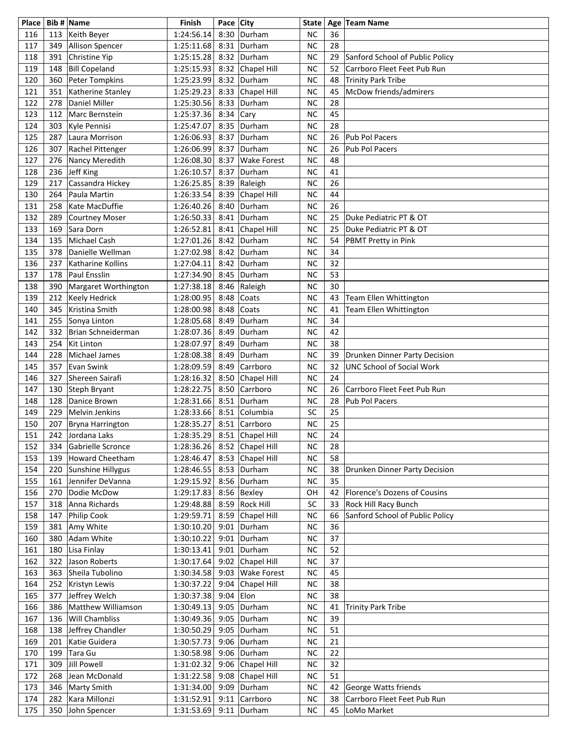| Place |     | Bib # Name            | Finish                      | Pace City |                    | <b>State</b> |    | Age Team Name                    |
|-------|-----|-----------------------|-----------------------------|-----------|--------------------|--------------|----|----------------------------------|
| 116   | 113 | Keith Beyer           | 1:24:56.14                  | 8:30      | Durham             | <b>NC</b>    | 36 |                                  |
| 117   | 349 | Allison Spencer       | 1:25:11.68                  | 8:31      | Durham             | <b>NC</b>    | 28 |                                  |
| 118   | 391 | Christine Yip         | 1:25:15.28                  | 8:32      | Durham             | <b>NC</b>    | 29 | Sanford School of Public Policy  |
| 119   | 148 | <b>Bill Copeland</b>  | 1:25:15.93                  | 8:32      | Chapel Hill        | <b>NC</b>    | 52 | Carrboro Fleet Feet Pub Run      |
|       |     |                       |                             |           |                    |              |    |                                  |
| 120   | 360 | Peter Tompkins        | 1:25:23.99                  | 8:32      | Durham             | <b>NC</b>    | 48 | <b>Trinity Park Tribe</b>        |
| 121   | 351 | Katherine Stanley     | 1:25:29.23                  | 8:33      | Chapel Hill        | <b>NC</b>    | 45 | McDow friends/admirers           |
| 122   | 278 | Daniel Miller         | 1:25:30.56                  | 8:33      | Durham             | <b>NC</b>    | 28 |                                  |
| 123   | 112 | Marc Bernstein        | 1:25:37.36                  | 8:34      | Cary               | <b>NC</b>    | 45 |                                  |
| 124   | 303 | Kyle Pennisi          | 1:25:47.07                  | 8:35      | Durham             | <b>NC</b>    | 28 |                                  |
| 125   | 287 | Laura Morrison        | 1:26:06.93                  | 8:37      | Durham             | <b>NC</b>    | 26 | Pub Pol Pacers                   |
| 126   | 307 | Rachel Pittenger      | 1:26:06.99                  | 8:37      | Durham             | <b>NC</b>    | 26 | Pub Pol Pacers                   |
| 127   | 276 | Nancy Meredith        | 1:26:08.30                  | 8:37      | <b>Wake Forest</b> | <b>NC</b>    | 48 |                                  |
| 128   | 236 | Jeff King             | 1:26:10.57                  | 8:37      | Durham             | <b>NC</b>    | 41 |                                  |
| 129   | 217 | Cassandra Hickey      | 1:26:25.85                  | 8:39      | Raleigh            | <b>NC</b>    | 26 |                                  |
| 130   | 264 | Paula Martin          | 1:26:33.54                  | 8:39      | Chapel Hill        | <b>NC</b>    | 44 |                                  |
| 131   | 258 | Kate MacDuffie        | 1:26:40.26                  | 8:40      | Durham             | <b>NC</b>    | 26 |                                  |
| 132   | 289 | <b>Courtney Moser</b> | 1:26:50.33                  | 8:41      | Durham             | <b>NC</b>    | 25 | Duke Pediatric PT & OT           |
|       |     |                       |                             |           |                    |              |    |                                  |
| 133   | 169 | Sara Dorn             | 1:26:52.81                  | 8:41      | Chapel Hill        | <b>NC</b>    | 25 | Duke Pediatric PT & OT           |
| 134   | 135 | Michael Cash          | 1:27:01.26                  | 8:42      | Durham             | <b>NC</b>    | 54 | PBMT Pretty in Pink              |
| 135   | 378 | Danielle Wellman      | 1:27:02.98                  | 8:42      | Durham             | <b>NC</b>    | 34 |                                  |
| 136   | 237 | Katharine Kollins     | 1:27:04.11                  | 8:42      | Durham             | <b>NC</b>    | 32 |                                  |
| 137   | 178 | Paul Ensslin          | 1:27:34.90                  | 8:45      | Durham             | <b>NC</b>    | 53 |                                  |
| 138   | 390 | Margaret Worthington  | 1:27:38.18                  | 8:46      | Raleigh            | <b>NC</b>    | 30 |                                  |
| 139   | 212 | Keely Hedrick         | 1:28:00.95                  | 8:48      | Coats              | <b>NC</b>    | 43 | Team Ellen Whittington           |
| 140   | 345 | Kristina Smith        | 1:28:00.98                  | 8:48      | Coats              | <b>NC</b>    | 41 | Team Ellen Whittington           |
| 141   | 255 | Sonya Linton          | 1:28:05.68                  | 8:49      | Durham             | <b>NC</b>    | 34 |                                  |
| 142   | 332 | Brian Schneiderman    | 1:28:07.36                  | 8:49      | Durham             | <b>NC</b>    | 42 |                                  |
| 143   | 254 | Kit Linton            | 1:28:07.97                  | 8:49      | Durham             | <b>NC</b>    | 38 |                                  |
| 144   | 228 | Michael James         | 1:28:08.38                  | 8:49      | Durham             | <b>NC</b>    | 39 | Drunken Dinner Party Decision    |
| 145   | 357 | Evan Swink            | 1:28:09.59                  | 8:49      | Carrboro           | <b>NC</b>    | 32 | <b>UNC School of Social Work</b> |
| 146   | 327 | Shereen Sairafi       | 1:28:16.32                  | 8:50      | Chapel Hill        | <b>NC</b>    | 24 |                                  |
|       |     |                       |                             |           |                    |              |    |                                  |
| 147   | 130 | Steph Bryant          | 1:28:22.75                  | 8:50      | Carrboro           | <b>NC</b>    | 26 | Carrboro Fleet Feet Pub Run      |
| 148   | 128 | Danice Brown          | 1:28:31.66                  | 8:51      | Durham             | <b>NC</b>    | 28 | Pub Pol Pacers                   |
| 149   | 229 | Melvin Jenkins        | 1:28:33.66                  | 8:51      | Columbia           | SC           | 25 |                                  |
| 150   | 207 | Bryna Harrington      | 1:28:35.27                  | 8:51      | Carrboro           | <b>NC</b>    | 25 |                                  |
| 151   |     | 242 Jordana Laks      | 1:28:35.29 8:51 Chapel Hill |           |                    | <b>NC</b>    | 24 |                                  |
| 152   | 334 | Gabrielle Scronce     | 1:28:36.26                  | 8:52      | Chapel Hill        | <b>NC</b>    | 28 |                                  |
| 153   | 139 | Howard Cheetham       | 1:28:46.47                  | 8:53      | Chapel Hill        | <b>NC</b>    | 58 |                                  |
| 154   |     | 220 Sunshine Hillygus | 1:28:46.55                  | 8:53      | Durham             | <b>NC</b>    | 38 | Drunken Dinner Party Decision    |
| 155   | 161 | Jennifer DeVanna      | 1:29:15.92                  | 8:56      | Durham             | NC           | 35 |                                  |
| 156   |     | 270   Dodie McDow     | 1:29:17.83                  | 8:56      | Bexley             | OH           |    | 42 Florence's Dozens of Cousins  |
| 157   |     | 318 Anna Richards     | 1:29:48.88                  | 8:59      | <b>Rock Hill</b>   | SC           | 33 | Rock Hill Racy Bunch             |
| 158   | 147 | Philip Cook           | 1:29:59.71                  | 8:59      | Chapel Hill        | NC           | 66 | Sanford School of Public Policy  |
| 159   | 381 | Amy White             | 1:30:10.20                  | 9:01      | Durham             | NC           | 36 |                                  |
| 160   | 380 | Adam White            | 1:30:10.22                  | 9:01      | Durham             | NC           | 37 |                                  |
| 161   | 180 | Lisa Finlay           | 1:30:13.41                  | 9:01      | Durham             | NC           | 52 |                                  |
| 162   | 322 | Jason Roberts         | 1:30:17.64                  | 9:02      | Chapel Hill        | NC           | 37 |                                  |
|       |     |                       |                             |           |                    |              |    |                                  |
| 163   | 363 | Sheila Tubolino       | 1:30:34.58                  | 9:03      | Wake Forest        | NC           | 45 |                                  |
| 164   |     | 252 Kristyn Lewis     | 1:30:37.22                  | 9:04      | Chapel Hill        | NC           | 38 |                                  |
| 165   | 377 | Jeffrey Welch         | 1:30:37.38                  | 9:04      | Elon               | <b>NC</b>    | 38 |                                  |
| 166   | 386 | Matthew Williamson    | 1:30:49.13                  | 9:05      | Durham             | <b>NC</b>    | 41 | <b>Trinity Park Tribe</b>        |
| 167   | 136 | <b>Will Chambliss</b> | 1:30:49.36                  | 9:05      | Durham             | NC           | 39 |                                  |
| 168   |     | 138 Jeffrey Chandler  | 1:30:50.29                  | 9:05      | Durham             | NC           | 51 |                                  |
| 169   | 201 | Katie Guidera         | 1:30:57.73                  | 9:06      | Durham             | NC           | 21 |                                  |
| 170   | 199 | Tara Gu               | 1:30:58.98                  | 9:06      | Durham             | <b>NC</b>    | 22 |                                  |
| 171   | 309 | Jill Powell           | 1:31:02.32                  | 9:06      | Chapel Hill        | <b>NC</b>    | 32 |                                  |
| 172   | 268 | Jean McDonald         | 1:31:22.58                  | 9:08      | Chapel Hill        | NC           | 51 |                                  |
| 173   |     | 346   Marty Smith     | 1:31:34.00                  | 9:09      | Durham             | <b>NC</b>    | 42 | George Watts friends             |
| 174   |     | 282 Kara Millonzi     | 1:31:52.91                  | 9:11      | Carrboro           | NC           | 38 | Carrboro Fleet Feet Pub Run      |
| 175   |     | 350 John Spencer      | 1:31:53.69                  |           | $9:11$ Durham      | NC           | 45 | LoMo Market                      |
|       |     |                       |                             |           |                    |              |    |                                  |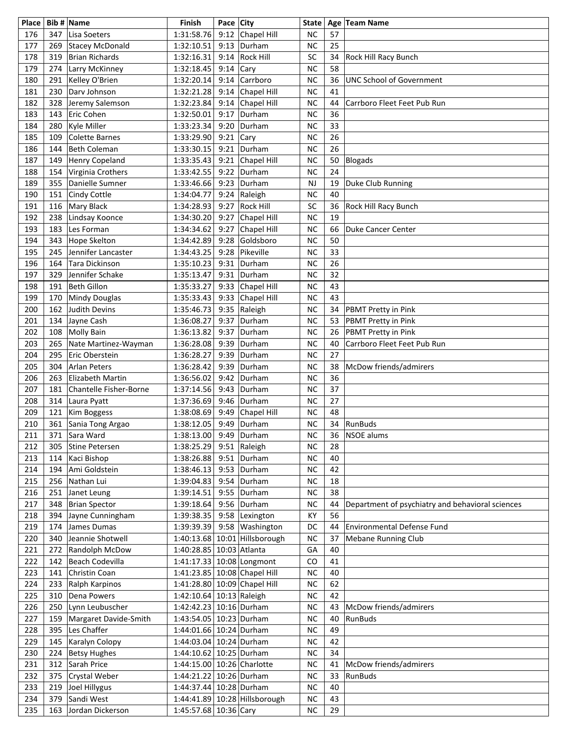| Place |     | Bib # Name             | Finish                       | Pace City |                               | <b>State</b> |    | Age Team Name                                    |
|-------|-----|------------------------|------------------------------|-----------|-------------------------------|--------------|----|--------------------------------------------------|
| 176   | 347 | Lisa Soeters           | 1:31:58.76                   |           | 9:12 Chapel Hill              | <b>NC</b>    | 57 |                                                  |
| 177   | 269 | Stacey McDonald        | 1:32:10.51                   | 9:13      | Durham                        | <b>NC</b>    | 25 |                                                  |
| 178   | 319 | Brian Richards         | 1:32:16.31                   | 9:14      | <b>Rock Hill</b>              | SC           | 34 | <b>Rock Hill Racy Bunch</b>                      |
| 179   | 274 | Larry McKinney         | 1:32:18.45                   | 9:14      | Cary                          | <b>NC</b>    | 58 |                                                  |
| 180   | 291 | Kelley O'Brien         | 1:32:20.14                   | 9:14      | Carrboro                      | <b>NC</b>    | 36 | <b>UNC School of Government</b>                  |
| 181   | 230 | Dary Johnson           | 1:32:21.28                   | 9:14      | Chapel Hill                   | <b>NC</b>    | 41 |                                                  |
|       |     |                        |                              |           |                               |              |    |                                                  |
| 182   | 328 | Jeremy Salemson        | 1:32:23.84                   | 9:14      | Chapel Hill                   | <b>NC</b>    | 44 | Carrboro Fleet Feet Pub Run                      |
| 183   | 143 | Eric Cohen             | 1:32:50.01                   | 9:17      | Durham                        | <b>NC</b>    | 36 |                                                  |
| 184   | 280 | Kyle Miller            | 1:33:23.34                   | 9:20      | Durham                        | <b>NC</b>    | 33 |                                                  |
| 185   | 109 | Colette Barnes         | 1:33:29.90                   | 9:21      | Cary                          | <b>NC</b>    | 26 |                                                  |
| 186   | 144 | Beth Coleman           | 1:33:30.15                   | 9:21      | Durham                        | <b>NC</b>    | 26 |                                                  |
| 187   | 149 | Henry Copeland         | 1:33:35.43                   | 9:21      | Chapel Hill                   | <b>NC</b>    | 50 | Blogads                                          |
| 188   | 154 | Virginia Crothers      | 1:33:42.55                   | 9:22      | Durham                        | <b>NC</b>    | 24 |                                                  |
| 189   | 355 | Danielle Sumner        | 1:33:46.66                   | 9:23      | Durham                        | <b>NJ</b>    | 19 | Duke Club Running                                |
| 190   | 151 | Cindy Cottle           | 1:34:04.77                   | 9:24      | Raleigh                       | <b>NC</b>    | 40 |                                                  |
| 191   | 116 | Mary Black             | 1:34:28.93                   | 9:27      | <b>Rock Hill</b>              | SC           | 36 | Rock Hill Racy Bunch                             |
| 192   | 238 | Lindsay Koonce         | 1:34:30.20                   | 9:27      | Chapel Hill                   | <b>NC</b>    | 19 |                                                  |
| 193   | 183 | Les Forman             | 1:34:34.62                   | 9:27      | Chapel Hill                   | <b>NC</b>    | 66 | Duke Cancer Center                               |
| 194   | 343 | Hope Skelton           | 1:34:42.89                   | 9:28      | Goldsboro                     | <b>NC</b>    | 50 |                                                  |
| 195   | 245 | Jennifer Lancaster     | 1:34:43.25                   | 9:28      | Pikeville                     | <b>NC</b>    | 33 |                                                  |
| 196   | 164 | Tara Dickinson         | 1:35:10.23                   | 9:31      | Durham                        | <b>NC</b>    | 26 |                                                  |
| 197   | 329 | Jennifer Schake        | 1:35:13.47                   | 9:31      | Durham                        | <b>NC</b>    | 32 |                                                  |
| 198   | 191 | Beth Gillon            | 1:35:33.27                   | 9:33      | Chapel Hill                   | <b>NC</b>    | 43 |                                                  |
| 199   |     |                        |                              | 9:33      |                               | <b>NC</b>    | 43 |                                                  |
|       | 170 | Mindy Douglas          | 1:35:33.43                   |           | Chapel Hill                   |              |    |                                                  |
| 200   | 162 | Judith Devins          | 1:35:46.73                   | 9:35      | Raleigh                       | <b>NC</b>    | 34 | <b>PBMT Pretty in Pink</b>                       |
| 201   |     | 134 Jayne Cash         | 1:36:08.27                   | 9:37      | Durham                        | <b>NC</b>    | 53 | <b>PBMT Pretty in Pink</b>                       |
| 202   |     | 108 Molly Bain         | 1:36:13.82                   | 9:37      | Durham                        | <b>NC</b>    | 26 | <b>PBMT Pretty in Pink</b>                       |
| 203   | 265 | Nate Martinez-Wayman   | 1:36:28.08                   | 9:39      | Durham                        | <b>NC</b>    | 40 | Carrboro Fleet Feet Pub Run                      |
| 204   | 295 | Eric Oberstein         | 1:36:28.27                   | 9:39      | Durham                        | <b>NC</b>    | 27 |                                                  |
| 205   | 304 | Arlan Peters           | 1:36:28.42                   | 9:39      | Durham                        | <b>NC</b>    | 38 | McDow friends/admirers                           |
| 206   | 263 | Elizabeth Martin       | 1:36:56.02                   | 9:42      | Durham                        | <b>NC</b>    | 36 |                                                  |
| 207   | 181 | Chantelle Fisher-Borne | 1:37:14.56                   | 9:43      | Durham                        | <b>NC</b>    | 37 |                                                  |
| 208   | 314 | Laura Pyatt            | 1:37:36.69                   | 9:46      | Durham                        | <b>NC</b>    | 27 |                                                  |
| 209   | 121 | Kim Boggess            | 1:38:08.69                   | 9:49      | Chapel Hill                   | <b>NC</b>    | 48 |                                                  |
| 210   | 361 | Sania Tong Argao       | 1:38:12.05                   | 9:49      | Durham                        | <b>NC</b>    |    | 34 RunBuds                                       |
| 211   | 371 | Sara Ward              | 1:38:13.00 9:49 Durham       |           |                               | <b>NC</b>    |    | 36 NSOE alums                                    |
| 212   | 305 | Stine Petersen         | 1:38:25.29                   | 9:51      | Raleigh                       | <b>NC</b>    | 28 |                                                  |
| 213   | 114 | Kaci Bishop            | 1:38:26.88 9:51              |           | Durham                        | <b>NC</b>    | 40 |                                                  |
| 214   |     | 194 Ami Goldstein      | 1:38:46.13                   | 9:53      | Durham                        | <b>NC</b>    | 42 |                                                  |
| 215   |     | 256 Nathan Lui         | 1:39:04.83                   | 9:54      | Durham                        | <b>NC</b>    | 18 |                                                  |
| 216   |     | 251 Janet Leung        | 1:39:14.51                   | 9:55      | Durham                        | <b>NC</b>    | 38 |                                                  |
| 217   |     | 348 Brian Spector      | 1:39:18.64                   |           | $9:56$ Durham                 | <b>NC</b>    | 44 | Department of psychiatry and behavioral sciences |
|       |     |                        |                              |           |                               |              | 56 |                                                  |
| 218   |     | 394 Jayne Cunningham   | 1:39:38.35                   |           | 9:58   Lexington              | KY           |    |                                                  |
| 219   | 174 | James Dumas            | 1:39:39.39                   |           | 9:58 Washington               | DC           | 44 | <b>Environmental Defense Fund</b>                |
| 220   | 340 | Jeannie Shotwell       |                              |           | 1:40:13.68 10:01 Hillsborough | <b>NC</b>    | 37 | <b>Mebane Running Club</b>                       |
| 221   | 272 | Randolph McDow         | 1:40:28.85 10:03 Atlanta     |           |                               | GA           | 40 |                                                  |
| 222   | 142 | Beach Codevilla        | 1:41:17.33 10:08 Longmont    |           |                               | CO           | 41 |                                                  |
| 223   | 141 | Christin Coan          | 1:41:23.85 10:08 Chapel Hill |           |                               | <b>NC</b>    | 40 |                                                  |
| 224   | 233 | Ralph Karpinos         | 1:41:28.80 10:09 Chapel Hill |           |                               | <b>NC</b>    | 62 |                                                  |
| 225   | 310 | Dena Powers            | 1:42:10.64 10:13 Raleigh     |           |                               | <b>NC</b>    | 42 |                                                  |
| 226   | 250 | Lynn Leubuscher        | 1:42:42.23 10:16 Durham      |           |                               | <b>NC</b>    | 43 | McDow friends/admirers                           |
| 227   | 159 | Margaret Davide-Smith  | 1:43:54.05   10:23   Durham  |           |                               | <b>NC</b>    | 40 | <b>RunBuds</b>                                   |
| 228   | 395 | Les Chaffer            | 1:44:01.66 10:24 Durham      |           |                               | <b>NC</b>    | 49 |                                                  |
| 229   | 145 | Karalyn Colopy         | 1:44:03.04 10:24 Durham      |           |                               | <b>NC</b>    | 42 |                                                  |
| 230   | 224 | Betsy Hughes           | 1:44:10.62 10:25 Durham      |           |                               | <b>NC</b>    | 34 |                                                  |
| 231   | 312 | Sarah Price            | 1:44:15.00 10:26 Charlotte   |           |                               | <b>NC</b>    | 41 | McDow friends/admirers                           |
| 232   | 375 | Crystal Weber          | 1:44:21.22 10:26 Durham      |           |                               | <b>NC</b>    | 33 | <b>RunBuds</b>                                   |
| 233   |     | 219 Joel Hillygus      | 1:44:37.44 10:28 Durham      |           |                               | <b>NC</b>    | 40 |                                                  |
| 234   | 379 | Sandi West             |                              |           | 1:44:41.89 10:28 Hillsborough | <b>NC</b>    | 43 |                                                  |
| 235   |     | 163 Jordan Dickerson   | 1:45:57.68 10:36 Cary        |           |                               | NC           | 29 |                                                  |
|       |     |                        |                              |           |                               |              |    |                                                  |